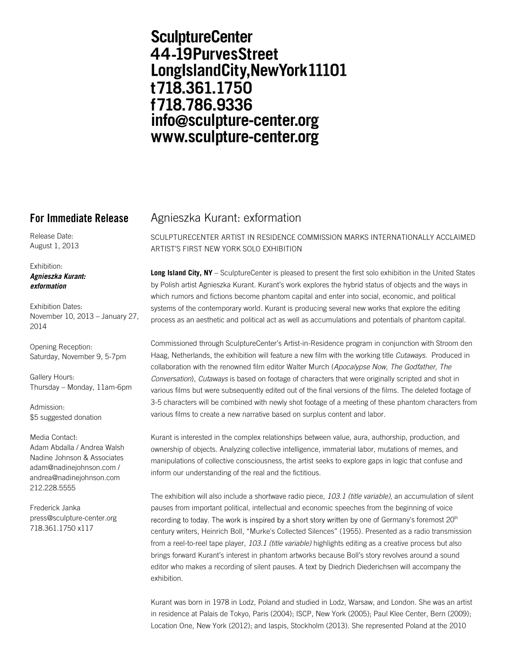# **SculptureCenter** 44-19PurvesStreet LongIslandCity, New York 11101 t718.361.1750 f718.786.9336 info@sculpture-center.org www.sculpture-center.org

Release Date: August 1, 2013

### Exhibition: *Agnieszka Kurant: exformation*

Exhibition Dates: November 10, 2013 – January 27, 2014

Opening Reception: Saturday, November 9, 5-7pm

Gallery Hours: Thursday – Monday, 11am-6pm

Admission: \$5 suggested donation

Media Contact: Adam Abdalla / Andrea Walsh Nadine Johnson & Associates adam@nadinejohnson.com / andrea@nadinejohnson.com 212.228.5555

Frederick Janka press@sculpture-center.org 718.361.1750 x117

## **For Immediate Release** Agnieszka Kurant: exformation

SCULPTURECENTER ARTIST IN RESIDENCE COMMISSION MARKS INTERNATIONALLY ACCLAIMED ARTIST'S FIRST NEW YORK SOLO EXHIBITION

**Long Island City, NY** – SculptureCenter is pleased to present the first solo exhibition in the United States by Polish artist Agnieszka Kurant. Kurant's work explores the hybrid status of objects and the ways in which rumors and fictions become phantom capital and enter into social, economic, and political systems of the contemporary world. Kurant is producing several new works that explore the editing process as an aesthetic and political act as well as accumulations and potentials of phantom capital.

Commissioned through SculptureCenter's Artist-in-Residence program in conjunction with Stroom den Haag, Netherlands, the exhibition will feature a new film with the working title *Cutaways*. Produced in collaboration with the renowned film editor Walter Murch (*Apocalypse Now, The Godfather, The Conversation*), *Cutaways* is based on footage of characters that were originally scripted and shot in various films but were subsequently edited out of the final versions of the films. The deleted footage of 3-5 characters will be combined with newly shot footage of a meeting of these phantom characters from various films to create a new narrative based on surplus content and labor.

Kurant is interested in the complex relationships between value, aura, authorship, production, and ownership of objects. Analyzing collective intelligence, immaterial labor, mutations of memes, and manipulations of collective consciousness, the artist seeks to explore gaps in logic that confuse and inform our understanding of the real and the fictitious.

The exhibition will also include a shortwave radio piece, *103.1 (title variable)*, an accumulation of silent pauses from important political, intellectual and economic speeches from the beginning of voice recording to today. The work is inspired by a short story written by one of Germany's foremost  $20<sup>th</sup>$ century writers, Heinrich Boll, "Murke's Collected Silences" (1955). Presented as a radio transmission from a reel-to-reel tape player, *103.1 (title variable)* highlights editing as a creative process but also brings forward Kurant's interest in phantom artworks because Boll's story revolves around a sound editor who makes a recording of silent pauses. A text by Diedrich Diederichsen will accompany the exhibition.

Kurant was born in 1978 in Lodz, Poland and studied in Lodz, Warsaw, and London. She was an artist in residence at Palais de Tokyo, Paris (2004); ISCP, New York (2005); Paul Klee Center, Bern (2009); Location One, New York (2012); and Iaspis, Stockholm (2013). She represented Poland at the 2010